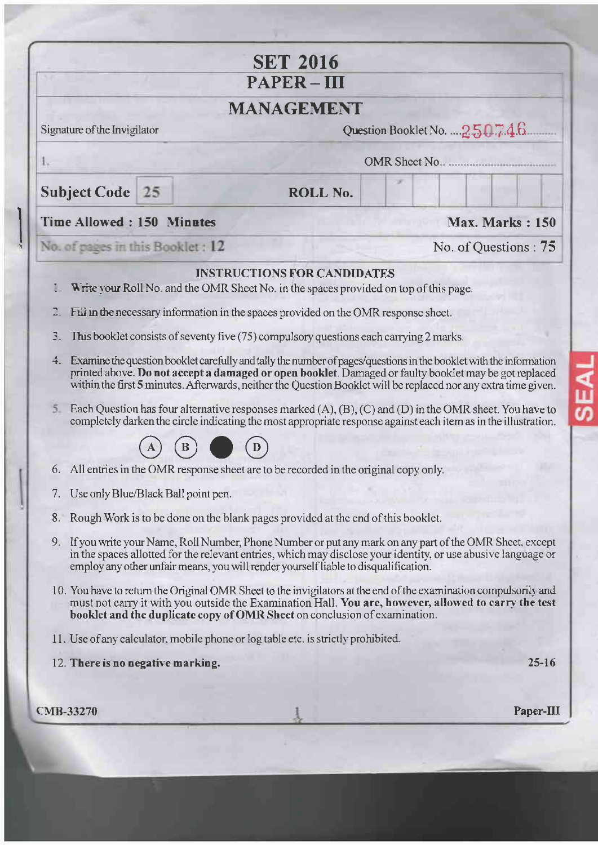| <b>SET 2016</b><br>PAPER-III<br><b>MANAGEMENT</b>                                                  |                                        |                                                                                        |                                                                                                                                                                                                                                                                                                                                                                                                                                                                  |  |  |
|----------------------------------------------------------------------------------------------------|----------------------------------------|----------------------------------------------------------------------------------------|------------------------------------------------------------------------------------------------------------------------------------------------------------------------------------------------------------------------------------------------------------------------------------------------------------------------------------------------------------------------------------------------------------------------------------------------------------------|--|--|
|                                                                                                    |                                        |                                                                                        |                                                                                                                                                                                                                                                                                                                                                                                                                                                                  |  |  |
| OMR Sheet No.<br>1.                                                                                |                                        |                                                                                        |                                                                                                                                                                                                                                                                                                                                                                                                                                                                  |  |  |
| <b>Subject Code</b> 25                                                                             |                                        | ROLL No.                                                                               |                                                                                                                                                                                                                                                                                                                                                                                                                                                                  |  |  |
| <b>Time Allowed: 150 Minutes</b>                                                                   |                                        |                                                                                        | <b>Max. Marks: 150</b>                                                                                                                                                                                                                                                                                                                                                                                                                                           |  |  |
| No. of pages in this Booklet: 12                                                                   |                                        |                                                                                        | No. of Questions: 75                                                                                                                                                                                                                                                                                                                                                                                                                                             |  |  |
|                                                                                                    |                                        | <b>INSTRUCTIONS FOR CANDIDATES</b>                                                     |                                                                                                                                                                                                                                                                                                                                                                                                                                                                  |  |  |
| Ţ.                                                                                                 |                                        | Write your Roll No. and the OMR Sheet No. in the spaces provided on top of this page.  |                                                                                                                                                                                                                                                                                                                                                                                                                                                                  |  |  |
|                                                                                                    |                                        | Fill in the necessary information in the spaces provided on the OMR response sheet.    |                                                                                                                                                                                                                                                                                                                                                                                                                                                                  |  |  |
| 3.                                                                                                 |                                        | This booklet consists of seventy five (75) compulsory questions each carrying 2 marks. |                                                                                                                                                                                                                                                                                                                                                                                                                                                                  |  |  |
| 4.                                                                                                 |                                        |                                                                                        | Examine the question booklet carefully and tally the number of pages/questions in the booklet with the information<br>printed above. Do not accept a damaged or open booklet. Damaged or faulty booklet may be got replaced<br>within the first 5 minutes. Afterwards, neither the Question Booklet will be replaced nor any extra time given.                                                                                                                   |  |  |
|                                                                                                    |                                        |                                                                                        | Each Question has four alternative responses marked $(A)$ , $(B)$ , $(C)$ and $(D)$ in the OMR sheet. You have to<br>completely darken the circle indicating the most appropriate response against each item as in the illustration.                                                                                                                                                                                                                             |  |  |
|                                                                                                    |                                        |                                                                                        |                                                                                                                                                                                                                                                                                                                                                                                                                                                                  |  |  |
|                                                                                                    |                                        | 6. All entries in the OMR response sheet are to be recorded in the original copy only. |                                                                                                                                                                                                                                                                                                                                                                                                                                                                  |  |  |
|                                                                                                    | 7. Use only Blue/Black Ball point pen. |                                                                                        |                                                                                                                                                                                                                                                                                                                                                                                                                                                                  |  |  |
| Rough Work is to be done on the blank pages provided at the end of this booklet.<br>8 <sub>1</sub> |                                        |                                                                                        |                                                                                                                                                                                                                                                                                                                                                                                                                                                                  |  |  |
|                                                                                                    |                                        |                                                                                        |                                                                                                                                                                                                                                                                                                                                                                                                                                                                  |  |  |
| 9.                                                                                                 |                                        | employ any other unfair means, you will render yourself liable to disqualification.    |                                                                                                                                                                                                                                                                                                                                                                                                                                                                  |  |  |
|                                                                                                    |                                        | booklet and the duplicate copy of OMR Sheet on conclusion of examination.              |                                                                                                                                                                                                                                                                                                                                                                                                                                                                  |  |  |
|                                                                                                    |                                        | 11. Use of any calculator, mobile phone or log table etc. is strictly prohibited.      |                                                                                                                                                                                                                                                                                                                                                                                                                                                                  |  |  |
|                                                                                                    | 12. There is no negative marking.      |                                                                                        |                                                                                                                                                                                                                                                                                                                                                                                                                                                                  |  |  |
|                                                                                                    |                                        |                                                                                        | If you write your Name, Roll Number, Phone Number or put any mark on any part of the OMR Sheet, except<br>in the spaces allotted for the relevant entries, which may disclose your identity, or use abusive language or<br>10. You have to return the Original OMR Sheet to the invigilators at the end of the examination compulsorily and<br>must not carry it with you outside the Examination Hall. You are, however, allowed to carry the test<br>$25 - 16$ |  |  |

SEAL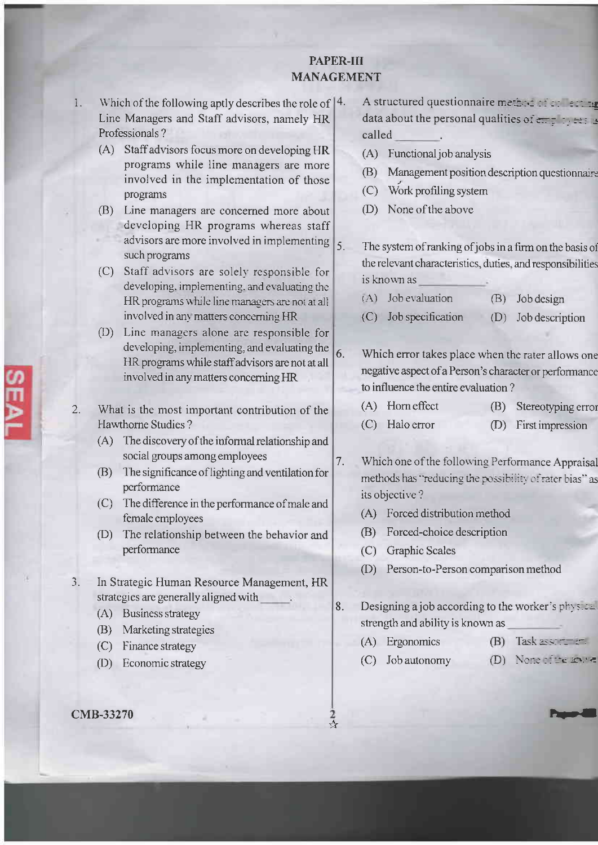## PAPER-III **MANAGEMENT**

6.

7.

- 1. Which of the following aptly describes the role of |4. Line Managers and Staff advisors, namely HR Professionals?
	- (A) Staff advisors focus more on developing HR programs while line managers are more involved in the implementation of those programs
	- (B) Line managers are concerned more about developing HR programs whereas staff advisors are more involved in implementing  $\left| \right|_5$ . such programs
	- (C) Staff advisors are solely responsible for developing, implementing, and evaluating the HR programs while line managers are not at all involved in any matters concerning HR
	- (D) Line managers alone are responsible for developing, implementing, and evaluating the HR programs while staff advisors are not at all involved in any matters concerning HR
- $2.$ What is the most important contribution of the **Hawthorne Studies?** 
	- (A) The discovery of the informal relationship and social groups among employees
	- (B) The significance of lighting and ventilation for performance
	- (C) The difference in the performance of male and female employees
	- (D) The relationship between the behavior and performance
- $3.$ In Strategic Human Resource Management, HR strategies are generally aligned with
	- (A) Business strategy
	- (B) Marketing strategies
	- (C) Finance strategy
	- (D) Economic strategy

#### **CMB-33270**

A structured questionnaire method of contrary data about the personal qualities of employees is called

- (A) Functional job analysis
- (B) Management position description questionnairs
- (C) Work profiling system
- (D) None of the above
- The system of ranking of jobs in a firm on the basis of the relevant characteristics, duties, and responsibilities is known as
	- (A) Job evaluation  $(B)$ Job design
	- (C) Job specification (D) Job description

Which error takes place when the rater allows one negative aspect of a Person's character or performance to influence the entire evaluation?

- $(A)$  Horn effect (B) Stereotyping error
- $(C)$  Halo error (D) First impression

Which one of the following Performance Appraisal methods has "reducing the possibility of rater bias" as its objective?

- (A) Forced distribution method
- (B) Forced-choice description
- (C) Graphic Scales
- (D) Person-to-Person comparison method

8. Designing a job according to the worker's  $ph_1 s.c.$ strength and ability is known as

- (A) Ergonomics  $(B)$  Task assertion.
- (C) Job autonomy
- (D) None of the source

2<br>☆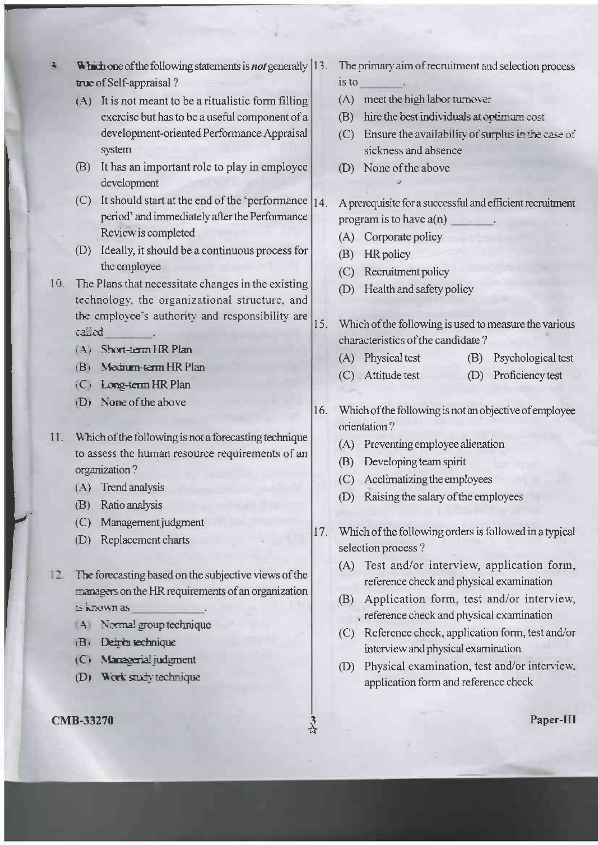- Which one of the following statements is *not* generally 13. true of Self-appraisal?
	- (A) It is not meant to be a ritualistic form filling exercise but has to be a useful component of a development-oriented Performance Appraisal system
	- (B) It has an important role to play in employee development
	- (C) It should start at the end of the 'performance  $|14\rangle$ period' and immediately after the Performance Review is completed
	- (D) Ideally, it should be a continuous process for the employee
- 10. The Plans that necessitate changes in the existing technology, the organizational structure, and the employee's authority and responsibility are called
	- (A) Short-term HR Plan

 $\mathbf{z}$ 

- (B) Medium-term HR Plan
- (C) Long-term HR Plan
- (D) None of the above
- 11. Which of the following is not a forecasting technique to assess the human resource requirements of an organization?
	- $(A)$  Trend analysis
	- (B) Ratio analysis
	- (C) Management judgment
	- (D) Replacement charts
- 12 The forecasting based on the subjective views of the managers on the HR requirements of an organization is known as
	- A Normal group technique
	- (B. Deiren technique
	- (C) Managerial judgment
	- (D) Work study technique

### **CMB-33270**

- The primary aim of recruitment and selection process is to
- (A) meet the high labor turnover
- (B) hire the best individuals at optimum cost
- (C) Ensure the availability of surplus in the case of sickness and absence
- (D) None of the above

A prerequisite for a successful and efficient recruitment program is to have  $a(n)$ 

- (A) Corporate policy
- (B) HR policy
- (C) Recruitment policy
- (D) Health and safety policy
- 15. Which of the following is used to measure the various characteristics of the candidate?
	- (A) Physical test (B) Psychological test
	- (C) Attitude test (D) Proficiency test
- 16. Which of the following is not an objective of employee orientation?
	- (A) Preventing employee alienation
	- (B) Developing team spirit
	- (C) Acclimatizing the employees
	- (D) Raising the salary of the employees
- 17. Which of the following orders is followed in a typical selection process?
	- (A) Test and/or interview, application form, reference check and physical examination
	- (B) Application form, test and/or interview, , reference check and physical examination
	- (C) Reference check, application form, test and/or interview and physical examination
	- (D) Physical examination, test and/or interview, application form and reference check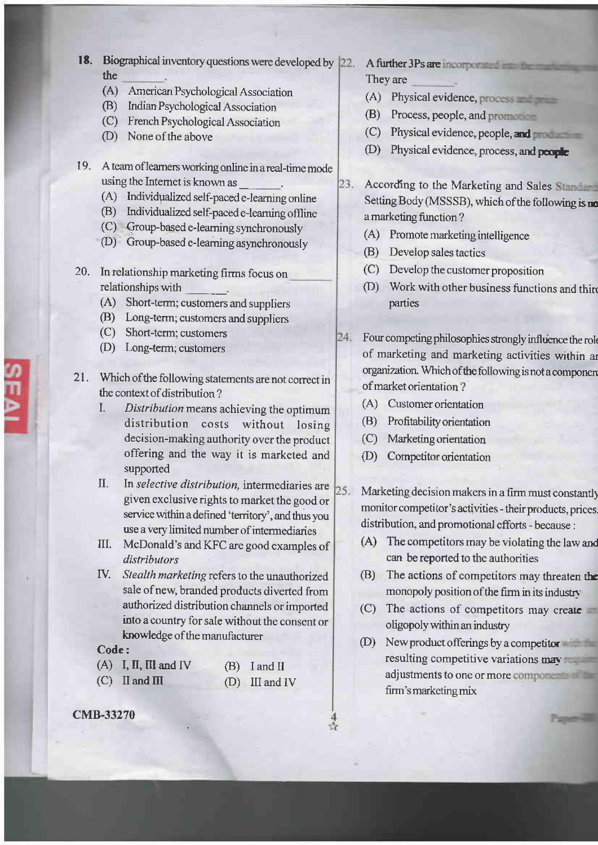- 18. Biographical inventory questions were developed by 22. the
	- (A) American Psychological Association
	- (B) Indian Psychological Association
	- (c) French Psychological Association
	- (D) None of the above
- 19. <sup>A</sup>team of leamers working online in areal-time mode
	- (A) Individualized self-paced e-learning online
	- (B) Individualized self-paced e-learning offline
	- (C) Group-based e-learning synchronously
	- (D) Group-based e-learning asynchronously
- 20. In relationship marketing firms focus on relationships with
	- (A) Short-term; customers and suppliers
	- (B) Long-term; customers and suppliers
	- (C) Short-term; customers
	- (D) Long-term; customers
- 21. Which of the following statements are not correct in the context of distribution?
	- I. Distribution means achieving the optimum distribution costs without losing decision-making authority over the product offering and the way it is marketed and supported
	- II. In selective distribution, intermediaries are  $25.$ given exclusive rights to market the good or service within a defined 'territory', and thus you use a very limited number of intermediaries
	- III. McDonald's and KFC are good examples of distributors
	- IV. Stealth marketing refers to the unauthorized sale of new, branded products diverted from authorized distribution channels or imported into a country for sale without the consent or knowledge of the manufacturer

#### Code:

| $(A)$ I, II, III and IV | $(B)$ I and II   |
|-------------------------|------------------|
| $(C)$ II and III        | $(D)$ III and IV |

cMB-33270

- A further 3Ps are incorporated in the man They are
	- (A) Physical evidence,
	- (B) Process, people, and
	- (C) Physical evidence, people, an
	- (D) Physical evidence, process, and people
- 23. According to the Marketing and Sales Standard Setting Body (MSSSB), which of the following is no <sup>a</sup>marketing fimction ?
	- (A) Promote marketing intelligence
	- (B) Develop sales tactics
	- (C) Develop the customer proposition
	- (D) Work with other business functions and thin parties
- 24. Four competing philosophies strongly influence the role of marketing and marketing activities within ar organization. Which of the following is not a componen of market orientation ?
	- (A) Customer orientation
	- @) Profitabilityorientation
	- (C) Marketingorientation
	- (D) Competitor orientation

Marketing decision makers in a firm must constantly monitor competitor's activities - their products, prices. distribution, and promotional efforts - because :

- (A) The competitors may be violating the law and can be reported to the authorities
- (B) The actions of competitors may threaten the monopoly position of the firm in its industry
- (C) The actions of competitors may create oligopoly within an industry
- @) Newproduct offerings by a competitor resulting competitive variations may adjustments to one or more components. firm's marketing mix

Paper-William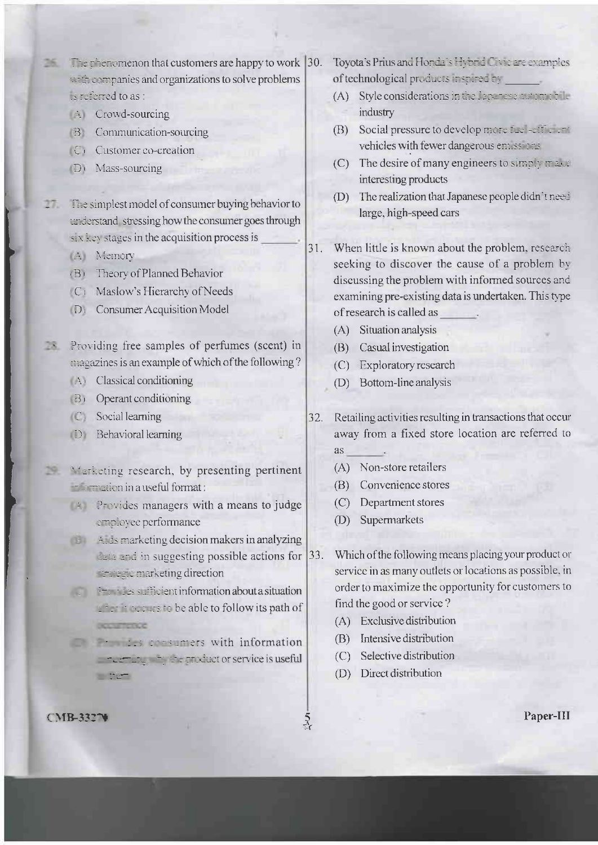- The phenomenon that customers are happy to work  $|30$ . 36. with companies and organizations to solve problems s referred to as :
	- $\div$  Crowd-sourcing
	- **B** Communication-sourcing
	- C) Customer co-creation
	- D) Mass-sourcing
- The simplest model of consumer buying behavior to understand stressing how the consumer goes through six key stages in the acquisition process is
	- (A) Memory
	- (B) Theory of Planned Behavior
	- (C) Maslow's Hierarchy of Needs
	- Di Consumer Acquisition Model
- **Examples** Providing free samples of perfumes (scent) in magazines is an example of which of the following?
	- $\triangle$  Classical conditioning
	- (B) Operant conditioning
	- $\mathbb{C}$  Social learning
	- D Behavioral learning
- Marketing research, by presenting pertinent 29. **Electronic in a useful format:** 
	- **Example 2** Provides managers with a means to judge employee performance
	- $\mathbf{E}$   $\mathbf{A}$  and  $\mathbf{A}$  and  $\mathbf{A}$  and  $\mathbf{A}$  and  $\mathbf{A}$  and  $\mathbf{A}$  and  $\mathbf{A}$  and  $\mathbf{A}$  and  $\mathbf{A}$  and  $\mathbf{A}$  and  $\mathbf{A}$  and  $\mathbf{A}$  and  $\mathbf{A}$  and  $\mathbf{A}$  and  $\mathbf{A}$  and  $\mathbf{A}$  and  $\mathbf$  $|33.$ case and in suggesting possible actions for **The marketing direction**
	- $\mathbb{R}^n$  and  $\mathbb{R}^n$  are sufficient information about a situation after it we urs to be able to follow its path of **DOLLARTICOCCO**
	- **Example 2008** and the sumers with information a neutral and the product or service is useful **Little**
- Tovota's Prius and Honda's Hybrid Civic are examples of technological products inspired ev-
	- (A) Style considerations in the laper ase automobile industry
	- (B) Social pressure to develop more fuel-efficient vehicles with fewer dangerous enuss are
	- (C) The desire of many engineers to simply masse interesting products
	- (D) The realization that Japanese people didn't need large, high-speed cars
- 31. When little is known about the problem, research seeking to discover the cause of a problem by discussing the problem with informed sources and examining pre-existing data is undertaken. This type of research is called as
	- (A) Situation analysis
	- (B) Casual investigation
	- (C) Exploratory research
	- Bottom-line analysis  $(D)$
- Retailing activities resulting in transactions that occur  $32.$ away from a fixed store location are referred to as
	- (A) Non-store retailers
	- (B) Convenience stores
	- (C) Department stores
	- (D) Supermarkets
	- Which of the following means placing your product or service in as many outlets or locations as possible, in order to maximize the opportunity for customers to find the good or service?
		- (A) Exclusive distribution
		- (B) Intensive distribution
		- (C) Selective distribution
		- (D) Direct distribution

 $\frac{5}{26}$ 

**CMB-3327V**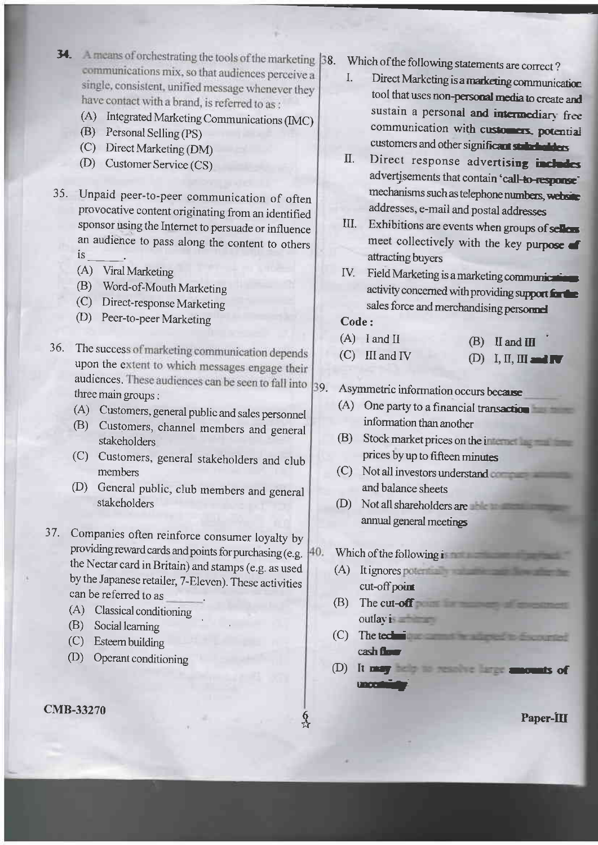- 34. A means of orchestrating the tools of the marketing [38. communications mix, so that audiences perceive a single, consistent, unified message whenever they have contact with a brand, is referred to as:<br>(A) Integrated Marketing Communications (IMC)
	-
	- (B) Personal Selling (PS)
	- (C) Direct Marketing (DM)
	- (D) Customer Service (CS)
- Unpaid peer-to-peer communication of often 35. provocative content originating from an identified sponsor using the Intemet to persuade or influence an audience to pass along the content to others ls
	- (A) Viral Marketing
	- (B) Word-of-Mouth Marketing
	- (C) Direct-responseMarketing
	- (D) Peer-to-peer Marketing
- 36. The success of marketing communication depends upon the extent to which messages engage their audiences. These audiences can be seen to fall into three main groups : 39.
	- (A) Customers, general public and sales personnel
	- @) Customers, channel members and general stakeholders
	- (C) Customers, general stakeholders and club members
	- (D) General public, club members and general stakeholders
- 37. Companies often reinforce consumer loyalty by providing reward cards and points for purchasing (e.g. H<sub>0</sub>. the Nectar card in Britain) and stamps (e.g. as used by the Japanese retailer, 7-Eleven). These activities can be refened to as
	- (A) Classical conditioning
	- (B) Social leaming
	- (C) Esteem buitding
	- (D) Operant conditioning

#### cMB-33270

- Which of the following statements are correct?<br>
I. Direct Marketing is a marketing as
	- Direct Marketing is a marketing communication tool that uses non-personal media to create and sustain a personal and intermediary free communication with customers, potential customers and other significant stabilizers
- II. Direct response advertising includes advertisements that contain 'call-to-response' mechanisms such as telephone numbers, website addresses, e-mail and postal addresses
- III. Exhibitions are events when groups of sellows meet collectively with the key purpose  $\blacksquare$ attracting buyers
- IV. Field Marketing is a marketing communication activity concerned with providing support for the sales force and merchandising personnel

Code :

- $(A)$  I and II (C) III and IV  $(B)$  II and III (D) I, II, III and  $\nabla$ 
	-

# Asymmetric information occurs because

- (A) One party to a financial transaction information than another
- (B) Stock market prices on the i prices by up to fifteen minutes
- (c) Not all investors undestand and balance sheets
- (D) Not all shareholders arc amual general meetines
- Which of the following  $\mathbf{i}$ 
	- (A) It ignores cut-off point
	- @) The cut-off **The cut-off The cut-off**  $\blacksquare$ outlay is a set

**Q** ti

- $(C)$  The tech- $\cosh f$
- rro{r (D) It may be a second company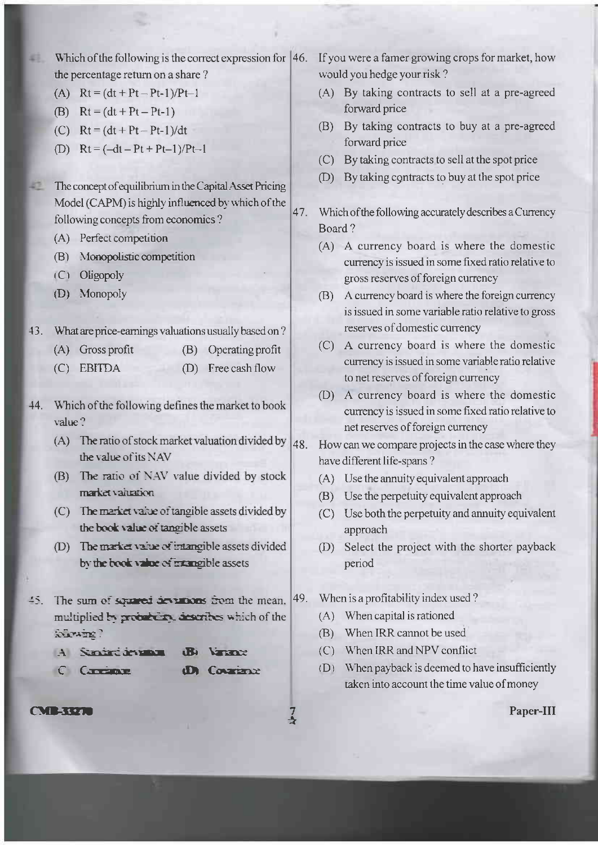Which of the following is the correct expression for  $|46$ . If you were a famer growing crops for market, how would you hedge your risk? the percentage return on a share? (A)  $Rt = (dt + Pt - Pt-1)/Pt-1$ (A) By taking contracts to sell at a pre-agreed forward price (B)  $Rt = (dt + Pt - Pt-1)$ (B) By taking contracts to buy at a pre-agreed (C)  $Rt = (dt + Pt - Pt-1)/dt$ forward price (D)  $Rt = (-dt - Pt + Pt-1)/Pt-1$ (C) By taking contracts to sell at the spot price (D) By taking contracts to buy at the spot price The concept of equilibrium in the Capital Asset Pricing Model (CAPM) is highly influenced by which of the 47. Which of the following accurately describes a Currency following concepts from economics? Board? (A) Perfect competition (A) A currency board is where the domestic (B) Monopolistic competition currency is issued in some fixed ratio relative to (C) Oligopoly gross reserves of foreign currency (D) Monopoly (B) A currency board is where the foreign currency is issued in some variable ratio relative to gross reserves of domestic currency 43. What are price-earnings valuations usually based on? (C) A currency board is where the domestic  $(A)$  Gross profit (B) Operating profit currency is issued in some variable ratio relative (C) EBITDA (D) Free cash flow to net reserves of foreign currency (D) A currency board is where the domestic Which of the following defines the market to book currency is issued in some fixed ratio relative to net reserves of foreign currency (A) The ratio of stock market valuation divided by 48. How can we compare projects in the case where they the value of its NAV have different life-spans? (B) The ratio of NAV value divided by stock (A) Use the annuity equivalent approach market valuation. (B) Use the perpetuity equivalent approach (C) The market value of tangible assets divided by (C) Use both the perpetuity and annuity equivalent the book value of tangible assets approach (D) The market value of intangible assets divided (D) Select the project with the shorter payback by the book value of mangible assets period When is a profitability index used? 45. The sum of squared deviations from the mean, 49. (A) When capital is rationed multiplied by probability, describes which of the (B) When IRR cannot be used (C) When IRR and NPV conflict A Smirt in man Varant (D) When payback is deemed to have insufficiently C Capitante dD Courtence taken into account the time value of money

**CVIERZZE** 

Suvaine?

43.

47

 $44.$ 

value?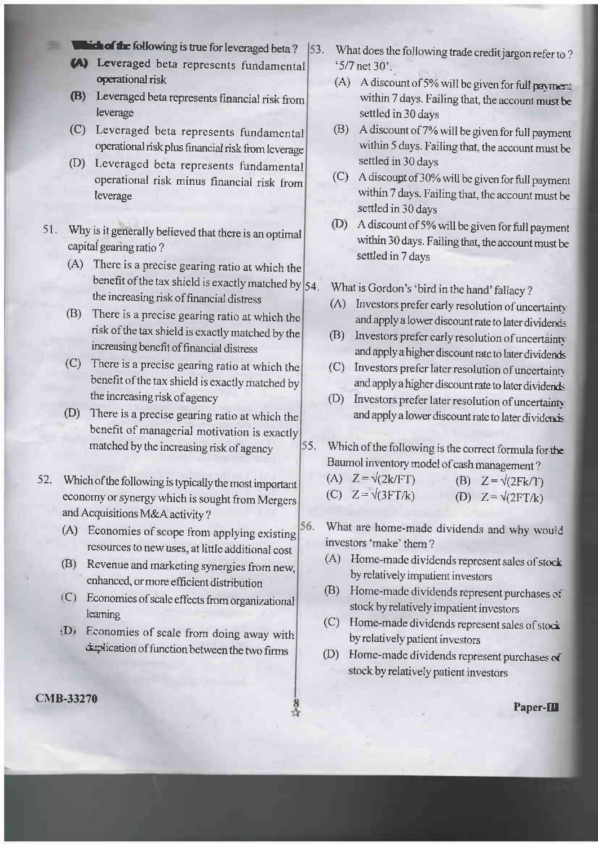- **Extract following is true for leveraged beta?**
- (a) Lcveraged beta represents fundamental operational risk
- (B) Leveraged beta represents financial risk from leverage
- (c) Leveraged beta represents fundamental operational risk plus financial risk fiom leverage
- (D) Leveraged beta represents fundamental operational risk minus financial risk from leverage
- 51. Why is it generally believed that there is an optimal capital gearing ratio ?
	- (A) There is a precise gearing ratio at which the benefit of the tax shield is exactly matched by  $\vert$  54. the increasing risk of financial distress
	- (B) There is a precise gearing ratio at which the risk ofthe tax shield is exactly malched by the increasing benefit of financial distress
	- There is a precise gearing ratio at which the (c) benefit of the tax shield is exactly matched by the increasing risk of agency
	- (D) There is a precise gearing ratio at which the benefit of managerial motivation is exactly matched by the increasing risk of agency
- Which ofthe following is typically the most important 52. economy or synergy which is sought from Mergers and Acquisitions M&A activity ?
	- 56. (A) Economies of scope from applying existing resources to new uses, at little additional cost
	- (B) Revenue and marketing synergies from new, enhanced, or more efficient distribution
	- $(C)$  Economies of scale effects from organizational learning
	- $(D)$  Economies of scale from doing away with duplication of function between the two firms
- $\mathbb{R}$  Paper-III
- 3. What does the following trade credit jargon refer ro ?  $5/7$  net 30'.
	- (A) A discount of 5% will be given for full payment within 7 days . Failing that, the account must be settled in 30 days
	- @) <sup>A</sup>discount of 7% will be given for full payment within 5 days. Failing that, the account must be settled in 30 days
	- (C) A discoupt of 30% will be given for full payment within 7 days. Failing that, the account must be settled in 30 days
	- @) <sup>A</sup>discount of 5% will be given for full payment within 30 days. Failing that, the account must be settled in 7 days

What is Gordon's 'bird in the hand' fallacy ?

- (A) Investors prefer early resolution of uncertainty and apply a lower discount rate to later dividend
- (B) Investors prefer early resolution of uncertainty and apply a higher discount rate to later dividends
- (C) Investors prefer later resolution of uncertainty and apply a higher discount rate to later dividends
- (D) Investors prefer later resolution of uncertainty and apply a lower discount rate to later dividents
- Which of the following is the correct formula for the Baumol inventory model of cash management ? 55.

| (A) $Z = \sqrt{2k/FT}$   | (B) $Z = \sqrt{(2Fk/T)}$ |
|--------------------------|--------------------------|
| (C) $Z = \sqrt{(3FT/k)}$ | (D) $Z = \sqrt{(2FT/k)}$ |

What are home-made dividends and why would investors 'make' them ?

- (A) Home-made dividends represent sales of stock by relatively impatient investors
- (B) Home-made dividends represent purchases of stock by relatively impatient investors
- (C) Home-made dividends represent sales of stoci by relatively patient investors
- @) Home-made dividends represent purchases oi stock by relatively patient investors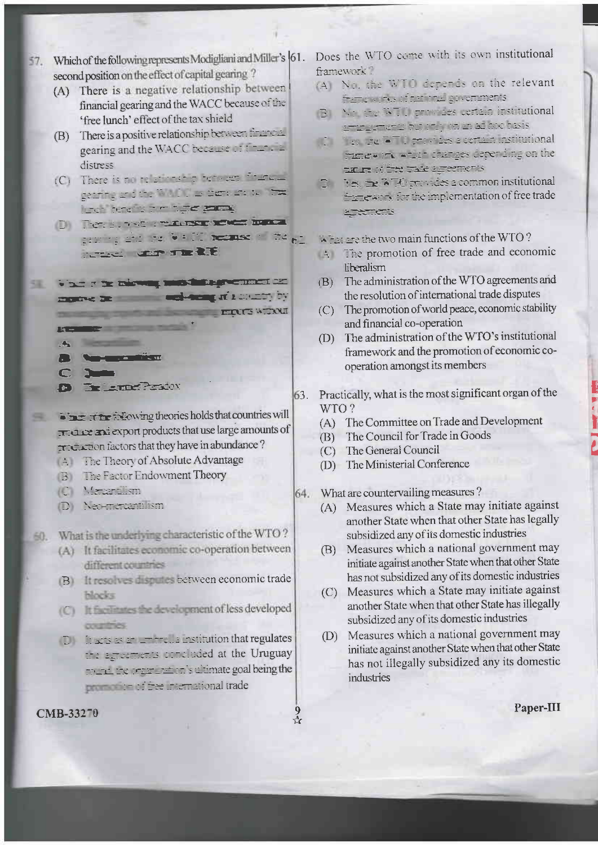- Which of the following represents Modigliani and Miller's 61. 57. second position on the effect of capital gearing?
	- (A) There is a negative relationship between financial gearing and the WACC because of the 'free lunch' effect of the tax shield
	- There is a positive relationship between financial (B) gearing and the WACC because of the state distress
	- (C) There is no relationship between finition gearing and the WALCO as translate to The lost terens timbute same
	- D) There is a some manufacturer from provided to 9400 necessary that go **Check Chap The RTE**
- What it be missing must intropretented as: 58 mone as and senger in course by **EXAMPLE AND RESIDENCE AND RESIDENCE** 
	- **PARTIES AND IN**  $\mathcal{H}$  . The set of  $\mathcal{H}$
	- $\frac{1}{2}$   $\frac{1}{2}$   $\frac{1}{2}$   $\frac{1}{2}$   $\frac{1}{2}$
	- $\Gamma$
	-
	- **The Lampe Persion**  $\mathbf{E}$
- First of the following theories holds that countries will 霊 creates and export products that use large amounts of tractors that they have in abundance?
	- A The Theory of Absolute Advantage
	- **B** The Factor Endowment Theory
	- (C) Mercenillism
	- D) Net-mentantiism

What is the underlying characteristic of the WTO? 60.

- (A) It facilitates economic co-operation between different countries
- (B) It resolves disputes between economic trade **blocks**
- (C) It fight the development of less developed countries.
- D large as an annual a institution that regulates the agreements concluded at the Uruguay to the transmission are goal being the **EXECUTE 11 The International trade**

 $\frac{9}{11}$ 

#### CMB-33270

Does the WTO come with its own institutional framework?

- (A) Nu, the WTO depends on the relevant Astronomy of the title governments
- BUN: the WTU primary certain institutional <u>semperents but that the adjace basis</u>
- The first the ATI provides a certain institutional mine of when changes depending on the taure of the trace agreements
- it estimates a common institutional The wars, for the implementation of free trade **MERCHICATS**
- When are the two main functions of the WTO?
- The promotion of free trade and economic liberalism
- The administration of the WTO agreements and  $(B)$ the resolution of international trade disputes
- (C) The promotion of world peace, economic stability and financial co-operation
- The administration of the WTO's institutional  $(D)$ framework and the promotion of economic cooperation amongst its members
- Practically, what is the most significant organ of the 63 WTO?
	- (A) The Committee on Trade and Development
	- The Council for Trade in Goods  $(B)$
	- (C) The General Council
	- (D) The Ministerial Conference
- What are countervailing measures? 64.
	- (A) Measures which a State may initiate against another State when that other State has legally subsidized any of its domestic industries
	- (B) Measures which a national government may initiate against another State when that other State has not subsidized any of its domestic industries
	- (C) Measures which a State may initiate against another State when that other State has illegally subsidized any of its domestic industries
	- Measures which a national government may  $(D)$ initiate against another State when that other State has not illegally subsidized any its domestic industries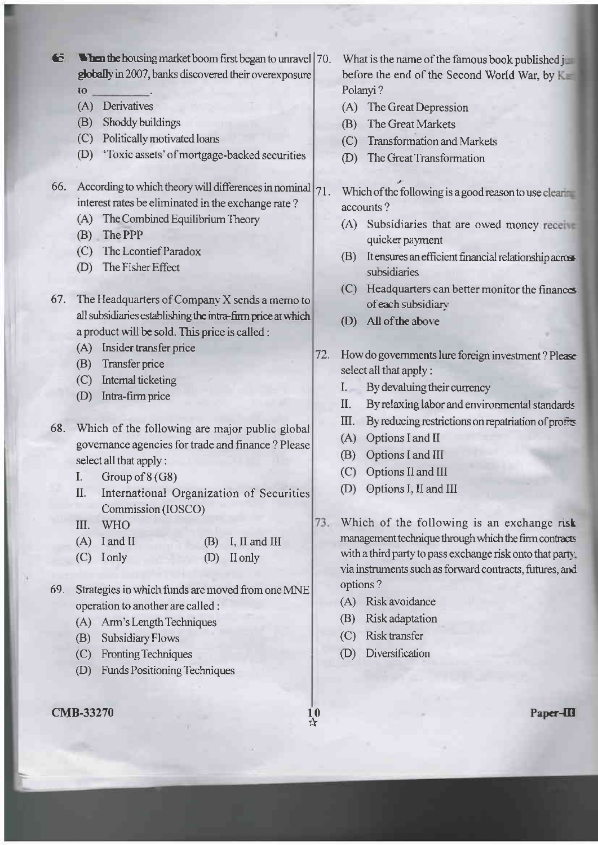65 Then the housing market boom first began to unravel | 70. globally in 2007, banks discovered their overexposure

- to
- (A) Derivatives
- (B) Shoddy buildings
- (C) Politically motivated loans
- (D) 'Toxic assets' of mortgage-backed securities
- 66. According to which theory will differences in nominal  $|_{71}$ . interest rates be eliminated in the exchange rate?
	- (A) The Combined Equilibrium Theory
	- (B) The PPP
	- (C) The Leontief Paradox
	- (D) The Fisher Effect
- 67. The Headquarters of Company X sends a memo to all subsidiaries establishing the intra-firm price at which a product will be sold. This price is called :
	- (A) Insider transfer price
	- (B) Transfer price
	- (C) Internal ticketing
	- (D) Intra-firm price
- 68. Which of the following are major public global governance agencies for trade and finance ? Please select all that apply:
	- I. Group of  $8(G8)$
	- II. International Organization of Securities Commission (IOSCO)
	- III. WHO
	- $(A)$  I and II  $(B)$  I, II and III
	- $(C)$  I only (D) II only
- 69. Strategies in which funds are moved from one MNE operation to another are called :
	- (A) Arm's Length Techniques
	- (B) Subsidiary Flows
	- (C) Fronting Techniques
	- (D) Funds Positioning Techniques
- **CMB-33270**
- What is the name of the famous book published jump before the end of the Second World War, by K Polanyi?
- (A) The Great Depression
- (B) The Great Markets
- (C) Transformation and Markets
- (D) The Great Transformation

Which of the following is a good reason to use clear accounts?

- (A) Subsidiaries that are owed money receive quicker payment
- (B) It ensures an efficient financial relationship across subsidiaries
- (C) Headquarters can better monitor the finances of each subsidiary
- (D) All of the above
- $72.$ How do governments lure foreign investment? Please select all that apply:
	- I. By devaluing their currency
	- II. By relaxing labor and environmental standards
	- III. By reducing restrictions on repatriation of profits
	- (A) Options I and II
	- (B) Options I and III
	- (C) Options II and III
	- (D) Options I, II and III
- 73. Which of the following is an exchange risk management technique through which the firm contracts with a third party to pass exchange risk onto that party. via instruments such as forward contracts, futures, and options?
	- (A) Risk avoidance
	- (B) Risk adaptation
	- (C) Risk transfer
	- (D) Diversification

 $\frac{10}{3}$